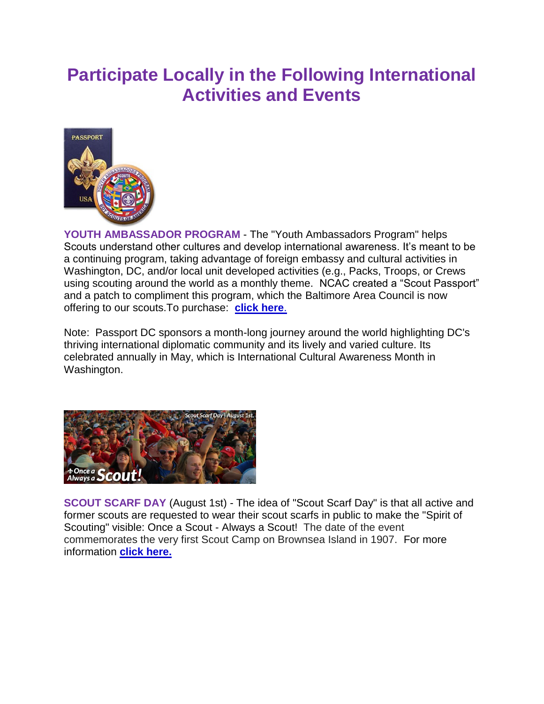## **Participate Locally in the Following International Activities and Events**



**YOUTH AMBASSADOR PROGRAM** - The "Youth Ambassadors Program" helps Scouts understand other cultures and develop international awareness. It's meant to be a continuing program, taking advantage of foreign embassy and cultural activities in Washington, DC, and/or local unit developed activities (e.g., Packs, Troops, or Crews using scouting around the world as a monthly theme. NCAC created a "Scout Passport" and a patch to compliment this program, which the Baltimore Area Council is now offering to our scouts.To purchase: **[click here](http://www.baltimorebsa.org/registration/calendardetail.aspx?ActivityKey=1547073&OrgKey=749)**.

Note: Passport DC sponsors a month-long journey around the world highlighting DC's thriving international diplomatic community and its lively and varied culture. Its celebrated annually in May, which is International Cultural Awareness Month in Washington.



**SCOUT SCARF DAY** (August 1st) - The idea of "Scout Scarf Day" is that all active and former scouts are requested to wear their scout scarfs in public to make the "Spirit of Scouting" visible: Once a Scout - Always a Scout! The date of the event commemorates the very first Scout Camp on Brownsea Island in 1907. For more information **[click here.](http://www.scoutscarfday.com/)**